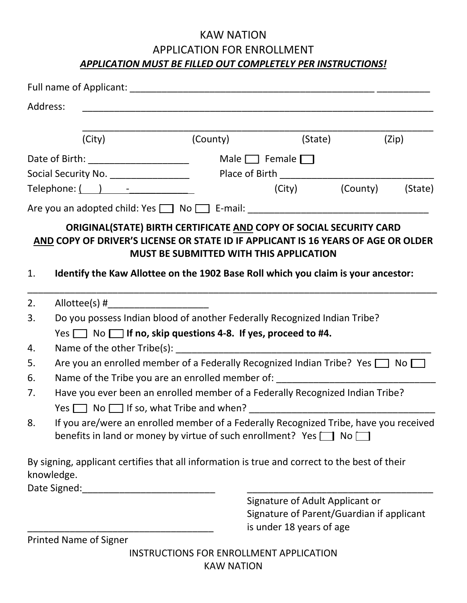## KAW NATION APPLICATION FOR ENROLLMENT *APPLICATION MUST BE FILLED OUT COMPLETELY PER INSTRUCTIONS!*

|                                                                  | Address:                                                                                                                                                                                                                                     |                                                                           |                                                                                                          |                 |         |  |
|------------------------------------------------------------------|----------------------------------------------------------------------------------------------------------------------------------------------------------------------------------------------------------------------------------------------|---------------------------------------------------------------------------|----------------------------------------------------------------------------------------------------------|-----------------|---------|--|
|                                                                  | (City)                                                                                                                                                                                                                                       | (County)                                                                  | (State)                                                                                                  |                 | (Zip)   |  |
|                                                                  |                                                                                                                                                                                                                                              |                                                                           | Male $\Box$ Female $\Box$                                                                                |                 |         |  |
| Social Security No. __________________                           |                                                                                                                                                                                                                                              |                                                                           |                                                                                                          |                 |         |  |
| $\text{Telephone:} \begin{pmatrix} 1 & 1 \\ 1 & 1 \end{pmatrix}$ |                                                                                                                                                                                                                                              |                                                                           |                                                                                                          | (City) (County) | (State) |  |
|                                                                  | Are you an adopted child: Yes 1 No 1 E-mail: 1990 E-mail: 2008                                                                                                                                                                               |                                                                           |                                                                                                          |                 |         |  |
| 1.                                                               | ORIGINAL(STATE) BIRTH CERTIFICATE AND COPY OF SOCIAL SECURITY CARD<br>AND COPY OF DRIVER'S LICENSE OR STATE ID IF APPLICANT IS 16 YEARS OF AGE OR OLDER<br>Identify the Kaw Allottee on the 1902 Base Roll which you claim is your ancestor: | <b>MUST BE SUBMITTED WITH THIS APPLICATION</b>                            |                                                                                                          |                 |         |  |
| 2.                                                               |                                                                                                                                                                                                                                              |                                                                           |                                                                                                          |                 |         |  |
| 3.                                                               |                                                                                                                                                                                                                                              | Do you possess Indian blood of another Federally Recognized Indian Tribe? |                                                                                                          |                 |         |  |
|                                                                  | Yes $\Box$ No $\Box$ If no, skip questions 4-8. If yes, proceed to #4.                                                                                                                                                                       |                                                                           |                                                                                                          |                 |         |  |
| 4.                                                               |                                                                                                                                                                                                                                              |                                                                           |                                                                                                          |                 |         |  |
| 5.                                                               | Are you an enrolled member of a Federally Recognized Indian Tribe? Yes $\Box$ No $\Box$                                                                                                                                                      |                                                                           |                                                                                                          |                 |         |  |
| 6.                                                               | Name of the Tribe you are an enrolled member of: _______________________________                                                                                                                                                             |                                                                           |                                                                                                          |                 |         |  |
| 7.                                                               | Have you ever been an enrolled member of a Federally Recognized Indian Tribe?                                                                                                                                                                |                                                                           |                                                                                                          |                 |         |  |
| 8.                                                               | If you are/were an enrolled member of a Federally Recognized Tribe, have you received<br>benefits in land or money by virtue of such enrollment? Yes $\Box$ No $\Box$                                                                        |                                                                           |                                                                                                          |                 |         |  |
|                                                                  | By signing, applicant certifies that all information is true and correct to the best of their<br>knowledge.                                                                                                                                  |                                                                           |                                                                                                          |                 |         |  |
|                                                                  | Date Signed:                                                                                                                                                                                                                                 |                                                                           | Signature of Adult Applicant or<br>Signature of Parent/Guardian if applicant<br>is under 18 years of age |                 |         |  |
|                                                                  | <b>Printed Name of Signer</b>                                                                                                                                                                                                                |                                                                           |                                                                                                          |                 |         |  |

INSTRUCTIONS FOR ENROLLMENT APPLICATION KAW NATION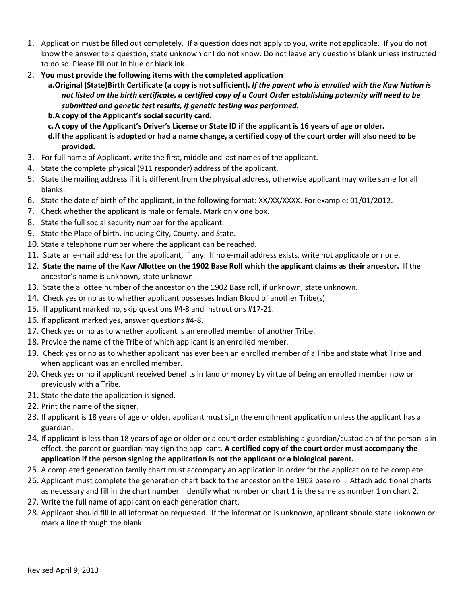- 1. Application must be filled out completely. If a question does not apply to you, write not applicable. If you do not know the answer to a question, state unknown or I do not know. Do not leave any questions blank unless instructed to do so. Please fill out in blue or black ink.
- 2. **You must provide the following items with the completed application**
	- **a.Original (State)Birth Certificate (a copy is not sufficient).** *If the parent who is enrolled with the Kaw Nation is not listed on the birth certificate, a certified copy of a Court Order establishing paternity will need to be submitted and genetic test results, if genetic testing was performed.*
	- **b.A copy of the Applicant's social security card.**
	- **c.A copy of the Applicant's Driver's License or State ID if the applicant is 16 years of age or older.**
	- **d.If the applicant is adopted or had a name change, a certified copy of the court order will also need to be provided.**
- 3. For full name of Applicant, write the first, middle and last names of the applicant.
- 4. State the complete physical (911 responder) address of the applicant.
- 5. State the mailing address if it is different from the physical address, otherwise applicant may write same for all blanks.
- 6. State the date of birth of the applicant, in the following format: XX/XX/XXXX. For example: 01/01/2012.
- 7. Check whether the applicant is male or female. Mark only one box.
- 8. State the full social security number for the applicant.
- 9. State the Place of birth, including City, County, and State.
- 10. State a telephone number where the applicant can be reached.
- 11. State an e-mail address for the applicant, if any. If no e-mail address exists, write not applicable or none.
- 12. **State the name of the Kaw Allottee on the 1902 Base Roll which the applicant claims as their ancestor.** If the ancestor's name is unknown, state unknown.
- 13. State the allottee number of the ancestor on the 1902 Base roll, if unknown, state unknown.
- 14. Check yes or no as to whether applicant possesses Indian Blood of another Tribe(s).
- 15. If applicant marked no, skip questions #4-8 and instructions #17-21.
- 16. If applicant marked yes, answer questions #4-8.
- 17. Check yes or no as to whether applicant is an enrolled member of another Tribe.
- 18. Provide the name of the Tribe of which applicant is an enrolled member.
- 19. Check yes or no as to whether applicant has ever been an enrolled member of a Tribe and state what Tribe and when applicant was an enrolled member.
- 20. Check yes or no if applicant received benefits in land or money by virtue of being an enrolled member now or previously with a Tribe.
- 21. State the date the application is signed.
- 22. Print the name of the signer.
- 23. If applicant is 18 years of age or older, applicant must sign the enrollment application unless the applicant has a guardian.
- 24. If applicant is less than 18 years of age or older or a court order establishing a guardian/custodian of the person is in effect, the parent or guardian may sign the applicant. **A certified copy of the court order must accompany the application if the person signing the application is not the applicant or a biological parent.**
- 25. A completed generation family chart must accompany an application in order for the application to be complete.
- 26. Applicant must complete the generation chart back to the ancestor on the 1902 base roll. Attach additional charts as necessary and fill in the chart number. Identify what number on chart 1 is the same as number 1 on chart 2.
- 27. Write the full name of applicant on each generation chart.
- 28. Applicant should fill in all information requested. If the information is unknown, applicant should state unknown or mark a line through the blank.